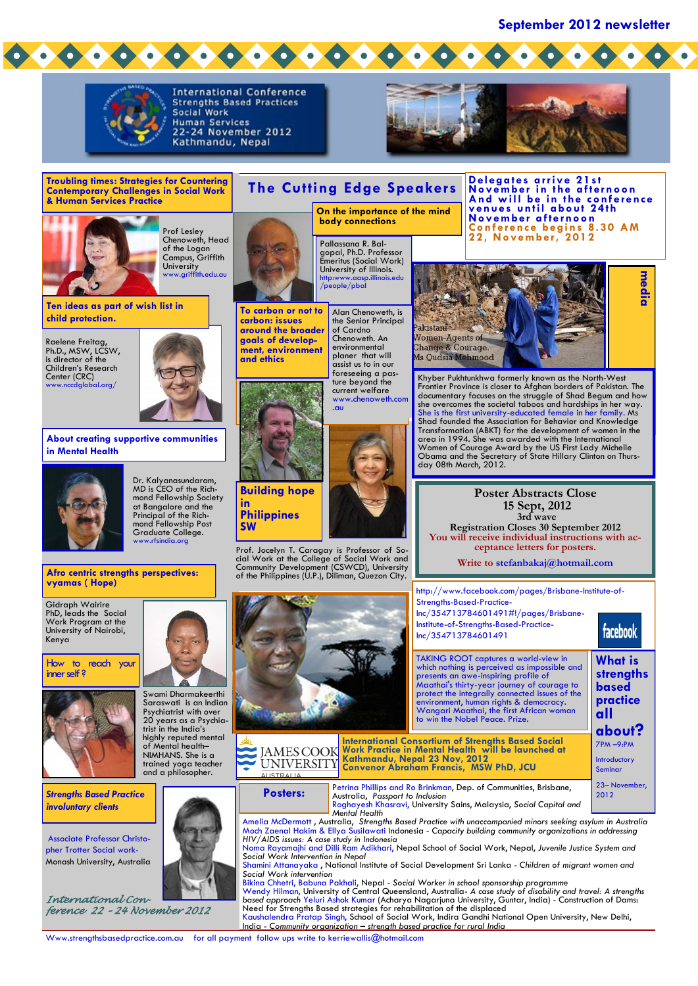**September 2012 newsletter**



How to reach your inner self ?



*Strengths Based Practice involuntary clients*

Associate Professor Christopher Trotter Social work-Monash University, Australia

*International Conference 22 – 24 November 2012* 





TAKING ROOT captures a world-view in which nothing is perceived as impossible and presents an awe-inspiring profile of Maathai's thirty-year journey of courage to protect the integrally connected issues of the environment, human rights & democracy. Wangari Maathai, the first African woman to win the Nobel Peace. Prize. Petrina Phillips and Ro Brinkman, Dep. of Communities, Brisbane, Australia, *Passport to Inclusion*  Roghayesh Khasravi, University Sains, Malaysia, *Social Capital and Mental Health* Amelia McDermott <mark>, Australia, Strength</mark>s Based Practice with unaccompanied minors seeking asylum in Australia<br>Moch Zaenal Hakim & Ellya Susilawati Indonesia - Capacity building community organizations in addressing *HIV/AIDS issues: A case study in Indonesia*  Noma Rayamajhi and Dilli Ram Adikhari, Nepal School of Social Work, Nepal, *Juvenile Justice System and Social Work Intervention in Nepal* Shamini Attanayaka , National Institute of Social Development Sri Lanka - *Children of migrant women and*  **strengths based practice all about?** 7PM –9:PM Introductory Seminar 23– November, **Posters:** Australia, Passport to Inclusion<br>2012 Australia, Passport to Inclusion **International Consortium of Strengths Based Social Work Practice in Mental Health will be launched at Kathmandu, Nepal 23 Nov, 2012 Convenor Abraham Francis, MSW PhD, JCU**

*Social Work intervention*

Bikina Chhetri, Babuna Pakhali, Nepal - *Social Worker in school sponsorship programme* Wendy Hilman, University of Central Queensland, Australia- *A case study of disability and travel: A strengths based approach* Yeluri Ashok Kumar (Acharya Nagarjuna University, Guntar, India) - Construction of Dams: Need for Strengths Based strategies for rehabilitation of the displaced Kaushalendra Pratap Singh, School of Social Work, Indira Gandhi National Open University, New Delhi,

India - *Community organization – strength based practice for rural India* 

Www.strengthsbasedpractice.com.au for all payment follow ups write to kerriewallis@hotmail.com